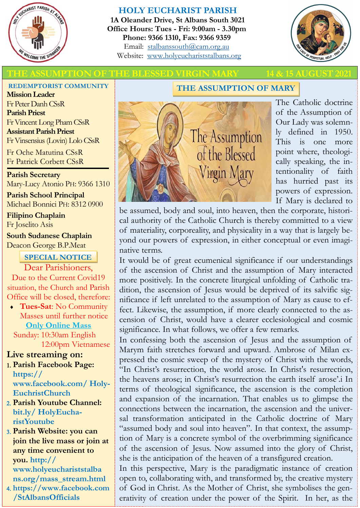

#### **HOLY EUCHARIST PARISH**

**1A Oleander Drive, St Albans South 3021 Office Hours: Tues - Fri: 9:00am - 3.30pm Phone: 9366 1310, Fax: 9366 9359** Email: [stalbanssouth@cam.org.au](mailto:stalbanssouth@cam.org.au) Website:[www.holyeuchariststalbans.org](http://www.holyeuchariststalbans.org)



#### **THE ASSUMPTION OF THE BLESSED VIRGIN MARY 44 & 15 AUGUST 2021**

**REDEMPTORIST COMMUNITY**

**Mission Leader** Fr Peter Danh CSsR **Parish Priest** Fr Vincent Long Pham CSsR **Assistant Parish Priest**  Fr Vinsensius (Lovin) Lolo CSsR

Fr Oche Matutina CSsR Fr Patrick Corbett CSsR

**Parish Secretary** Mary-Lucy Atonio PH: 9366 1310

**Parish School Principal** Michael Bonnici PH: 8312 0900

**Filipino Chaplain** Fr Joselito Asis

**South Sudanese Chaplain** Deacon George B.P.Meat

**SPECIAL NOTICE**

Dear Parishioners, Due to the Current Covid19 situation, the Church and Parish Office will be closed, therefore:

 **Tues-Sat**: No Community Masses until further notice **Only Online Mass**  Sunday: 10:30am English

12:00pm Vietnamese

**Live streaming on:** 

- **Parish Facebook Page: https:// www.facebook.com/ Holy-EuchristChurch**
- **Parish Youtube Channel: bit.ly/ HolyEucharistYoutube**
- **Parish Website: you can join the live mass or join at any time convenient to you. http:// www.holyeuchariststalba ns.org/mass\_stream.html**
- **https://www.facebook.com /StAlbansOfficials**



The Catholic doctrine of the Assumption of Our Lady was solemnly defined in 1950. This is one more point where, theologically speaking, the intentionality of faith has hurried past its powers of expression. If Mary is declared to

be assumed, body and soul, into heaven, then the corporate, historical authority of the Catholic Church is thereby committed to a view of materiality, corporeality, and physicality in a way that is largely beyond our powers of expression, in either conceptual or even imaginative terms.

It would be of great ecumenical significance if our understandings of the ascension of Christ and the assumption of Mary interacted more positively. In the concrete liturgical unfolding of Catholic tradition, the ascension of Jesus would be deprived of its salvific significance if left unrelated to the assumption of Mary as cause to effect. Likewise, the assumption, if more clearly connected to the ascension of Christ, would have a clearer ecclesiological and cosmic significance. In what follows, we offer a few remarks.

In confessing both the ascension of Jesus and the assumption of Marym faith stretches forward and upward. Ambrose of Milan expressed the cosmic sweep of the mystery of Christ with the words, "In Christ's resurrection, the world arose. In Christ's resurrection, the heavens arose; in Christ's resurrection the earth itself arose'.i In terms of theological significance, the ascension is the completion and expansion of the incarnation. That enables us to glimpse the connections between the incarnation, the ascension and the universal transformation anticipated in the Catholic doctrine of Mary "assumed body and soul into heaven". In that context, the assumption of Mary is a concrete symbol of the overbrimming significance of the ascension of Jesus. Now assumed into the glory of Christ, she is the anticipation of the heaven of a transfigured creation.

In this perspective, Mary is the paradigmatic instance of creation open to, collaborating with, and transformed by, the creative mystery of God in Christ. As the Mother of Christ, she symbolises the generativity of creation under the power of the Spirit. In her, as the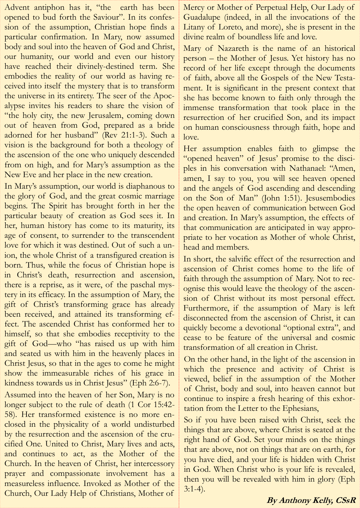Advent antiphon has it, "the earth has been opened to bud forth the Saviour". In its confession of the assumption, Christian hope finds a particular confirmation. In Mary, now assumed body and soul into the heaven of God and Christ, our humanity, our world and even our history have reached their divinely-destined term. She embodies the reality of our world as having received into itself the mystery that is to transform the universe in its entirety. The seer of the Apocalypse invites his readers to share the vision of "the holy city, the new Jerusalem, coming down out of heaven from God, prepared as a bride adorned for her husband" (Rev 21:1-3). Such a vision is the background for both a theology of the ascension of the one who uniquely descended from on high, and for Mary's assumption as the New Eve and her place in the new creation.

In Mary's assumption, our world is diaphanous to the glory of God, and the great cosmic marriage begins. The Spirit has brought forth in her the particular beauty of creation as God sees it. In her, human history has come to its maturity, its age of consent, to surrender to the transcendent love for which it was destined. Out of such a union, the whole Christ of a transfigured creation is born. Thus, while the focus of Christian hope is in Christ's death, resurrection and ascension, there is a reprise, as it were, of the paschal mystery in its efficacy. In the assumption of Mary, the gift of Christ's transforming grace has already been received, and attained its transforming effect. The ascended Christ has conformed her to himself, so that she embodies receptivity to the gift of God—who "has raised us up with him and seated us with him in the heavenly places in Christ Jesus, so that in the ages to come he might show the immeasurable riches of his grace in kindness towards us in Christ Jesus" (Eph 2:6-7).

Assumed into the heaven of her Son, Mary is no longer subject to the rule of death (1 Cor 15:42- 58). Her transformed existence is no more enclosed in the physicality of a world undisturbed by the resurrection and the ascension of the crucified One. United to Christ, Mary lives and acts, and continues to act, as the Mother of the Church. In the heaven of Christ, her intercessory prayer and compassionate involvement has a measureless influence. Invoked as Mother of the Church, Our Lady Help of Christians, Mother of

Mercy or Mother of Perpetual Help, Our Lady of Guadalupe (indeed, in all the invocations of the Litany of Loreto, and more), she is present in the divine realm of boundless life and love.

Mary of Nazareth is the name of an historical person – the Mother of Jesus. Yet history has no record of her life except through the documents of faith, above all the Gospels of the New Testament. It is significant in the present context that she has become known to faith only through the immense transformation that took place in the resurrection of her crucified Son, and its impact on human consciousness through faith, hope and love.

Her assumption enables faith to glimpse the "opened heaven" of Jesus' promise to the disciples in his conversation with Nathanael: "Amen, amen, I say to you, you will see heaven opened and the angels of God ascending and descending on the Son of Man" (John 1:51). Jesusembodies the open heaven of communication between God and creation. In Mary's assumption, the effects of that communication are anticipated in way appropriate to her vocation as Mother of whole Christ, head and members.

In short, the salvific effect of the resurrection and ascension of Christ comes home to the life of faith through the assumption of Mary. Not to recognise this would leave the theology of the ascension of Christ without its most personal effect. Furthermore, if the assumption of Mary is left disconnected from the ascension of Christ, it can quickly become a devotional "optional extra", and cease to be feature of the universal and cosmic transformation of all creation in Christ.

On the other hand, in the light of the ascension in which the presence and activity of Christ is viewed, belief in the assumption of the Mother of Christ, body and soul, into heaven cannot but continue to inspire a fresh hearing of this exhortation from the Letter to the Ephesians,

So if you have been raised with Christ, seek the things that are above, where Christ is seated at the right hand of God. Set your minds on the things that are above, not on things that are on earth, for you have died, and your life is hidden with Christ in God. When Christ who is your life is revealed, then you will be revealed with him in glory (Eph 3:1-4).

# **By Anthony Kelly, CSsR**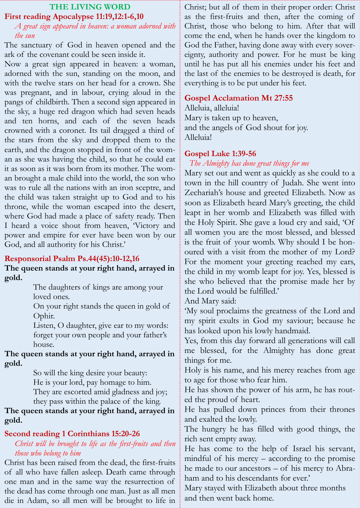#### **THE LIVING WORD First reading Apocalypse 11:19,12:1-6,10**

# *A great sign appeared in heaven: a woman adorned with the sun*

The sanctuary of God in heaven opened and the ark of the covenant could be seen inside it.

Now a great sign appeared in heaven: a woman, adorned with the sun, standing on the moon, and with the twelve stars on her head for a crown. She was pregnant, and in labour, crying aloud in the pangs of childbirth. Then a second sign appeared in the sky, a huge red dragon which had seven heads and ten horns, and each of the seven heads crowned with a coronet. Its tail dragged a third of the stars from the sky and dropped them to the earth, and the dragon stopped in front of the woman as she was having the child, so that he could eat it as soon as it was born from its mother. The woman brought a male child into the world, the son who was to rule all the nations with an iron sceptre, and the child was taken straight up to God and to his throne, while the woman escaped into the desert, where God had made a place of safety ready. Then I heard a voice shout from heaven, 'Victory and power and empire for ever have been won by our God, and all authority for his Christ.'

# **Responsorial Psalm Ps.44(45):10-12,16**

**The queen stands at your right hand, arrayed in gold.**

The daughters of kings are among your loved ones.

On your right stands the queen in gold of Ophir.

Listen, O daughter, give ear to my words: forget your own people and your father's house.

**The queen stands at your right hand, arrayed in gold.**

So will the king desire your beauty: He is your lord, pay homage to him. They are escorted amid gladness and joy; they pass within the palace of the king.

**The queen stands at your right hand, arrayed in gold.**

# **Second reading 1 Corinthians 15:20-26**

*Christ will be brought to life as the first-fruits and then those who belong to him*

Christ has been raised from the dead, the first-fruits of all who have fallen asleep. Death came through one man and in the same way the resurrection of the dead has come through one man. Just as all men die in Adam, so all men will be brought to life in

Christ; but all of them in their proper order: Christ as the first-fruits and then, after the coming of Christ, those who belong to him. After that will come the end, when he hands over the kingdom to God the Father, having done away with every sovereignty, authority and power. For he must be king until he has put all his enemies under his feet and the last of the enemies to be destroyed is death, for everything is to be put under his feet.

# **Gospel Acclamation Mt 27:55**

Alleluia, alleluia! Mary is taken up to heaven, and the angels of God shout for joy. Alleluia!

# **Gospel Luke 1:39-56**

*The Almighty has done great things for me*

Mary set out and went as quickly as she could to a town in the hill country of Judah. She went into Zechariah's house and greeted Elizabeth. Now as soon as Elizabeth heard Mary's greeting, the child leapt in her womb and Elizabeth was filled with the Holy Spirit. She gave a loud cry and said, 'Of all women you are the most blessed, and blessed is the fruit of your womb. Why should I be honoured with a visit from the mother of my Lord? For the moment your greeting reached my ears, the child in my womb leapt for joy. Yes, blessed is she who believed that the promise made her by the Lord would be fulfilled.'

And Mary said:

'My soul proclaims the greatness of the Lord and my spirit exults in God my saviour; because he has looked upon his lowly handmaid.

Yes, from this day forward all generations will call me blessed, for the Almighty has done great things for me.

Holy is his name, and his mercy reaches from age to age for those who fear him.

He has shown the power of his arm, he has routed the proud of heart.

He has pulled down princes from their thrones and exalted the lowly.

The hungry he has filled with good things, the rich sent empty away.

He has come to the help of Israel his servant, mindful of his mercy – according to the promise he made to our ancestors – of his mercy to Abraham and to his descendants for ever.'

Mary stayed with Elizabeth about three months and then went back home.